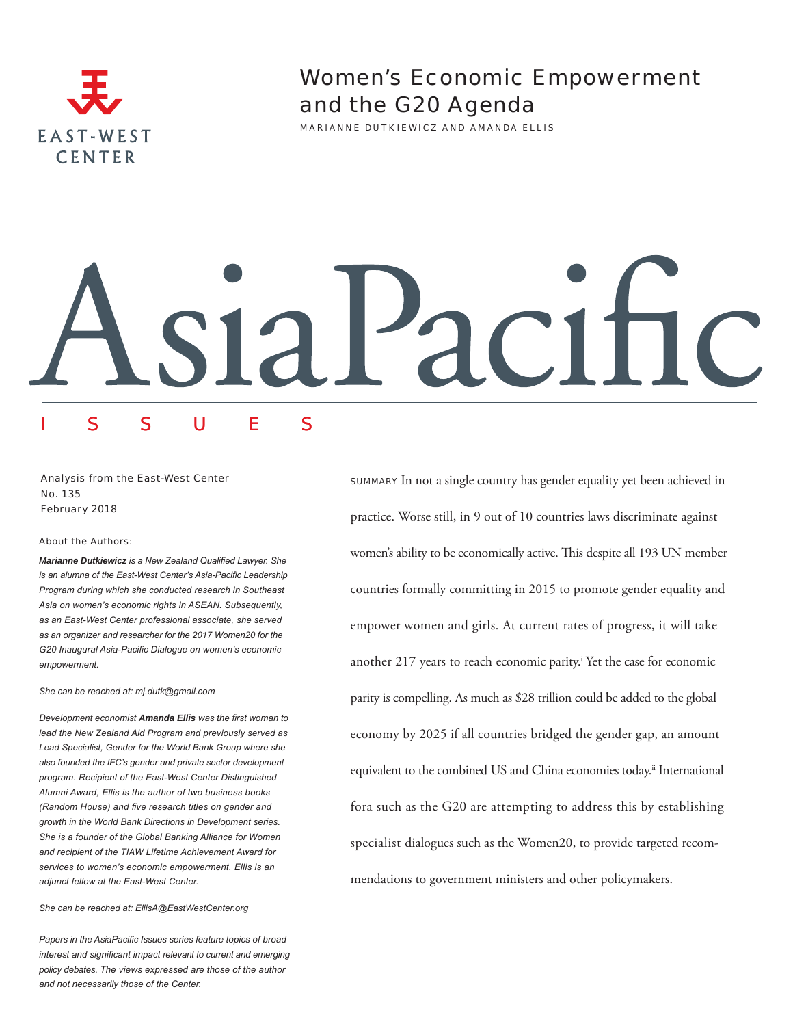

**Women's Economic Empowerment** and the G20 Agenda

MARIANNE DUTKIEWICZ AND AMANDA ELLIS

# Itic aci

# Analysis from the East-West Center No. 135 February 2018

#### **About the Authors:**

Marianne Dutkiewicz is a New Zealand Qualified Lawyer. She is an alumna of the East-West Center's Asia-Pacific Leadership Program during which she conducted research in Southeast Asia on women's economic rights in ASEAN. Subsequently, as an East-West Center professional associate, she served as an organizer and researcher for the 2017 Women20 for the G20 Inaugural Asia-Pacific Dialogue on women's economic empowerment.

F

U

S

She can be reached at: mj.dutk@gmail.com

Development economist Amanda Ellis was the first woman to lead the New Zealand Aid Program and previously served as Lead Specialist, Gender for the World Bank Group where she also founded the IFC's gender and private sector development program. Recipient of the East-West Center Distinguished Alumni Award, Ellis is the author of two business books (Random House) and five research titles on gender and growth in the World Bank Directions in Development series. She is a founder of the Global Banking Alliance for Women and recipient of the TIAW Lifetime Achievement Award for services to women's economic empowerment. Ellis is an adjunct fellow at the East-West Center.

She can be reached at: EllisA@EastWestCenter.org

Papers in the AsiaPacific Issues series feature topics of broad interest and significant impact relevant to current and emerging policy debates. The views expressed are those of the author and not necessarily those of the Center.

**SUMMARY** In not a single country has gender equality yet been achieved in practice. Worse still, in 9 out of 10 countries laws discriminate against women's ability to be economically active. This despite all 193 UN member countries formally committing in 2015 to promote gender equality and empower women and girls. At current rates of progress, it will take another 217 years to reach economic parity.<sup>i</sup> Yet the case for economic parity is compelling. As much as \$28 trillion could be added to the global economy by 2025 if all countries bridged the gender gap, an amount equivalent to the combined US and China economies today.<sup>ii</sup> International fora such as the G20 are attempting to address this by establishing specialist dialogues such as the Women20, to provide targeted recommendations to government ministers and other policymakers.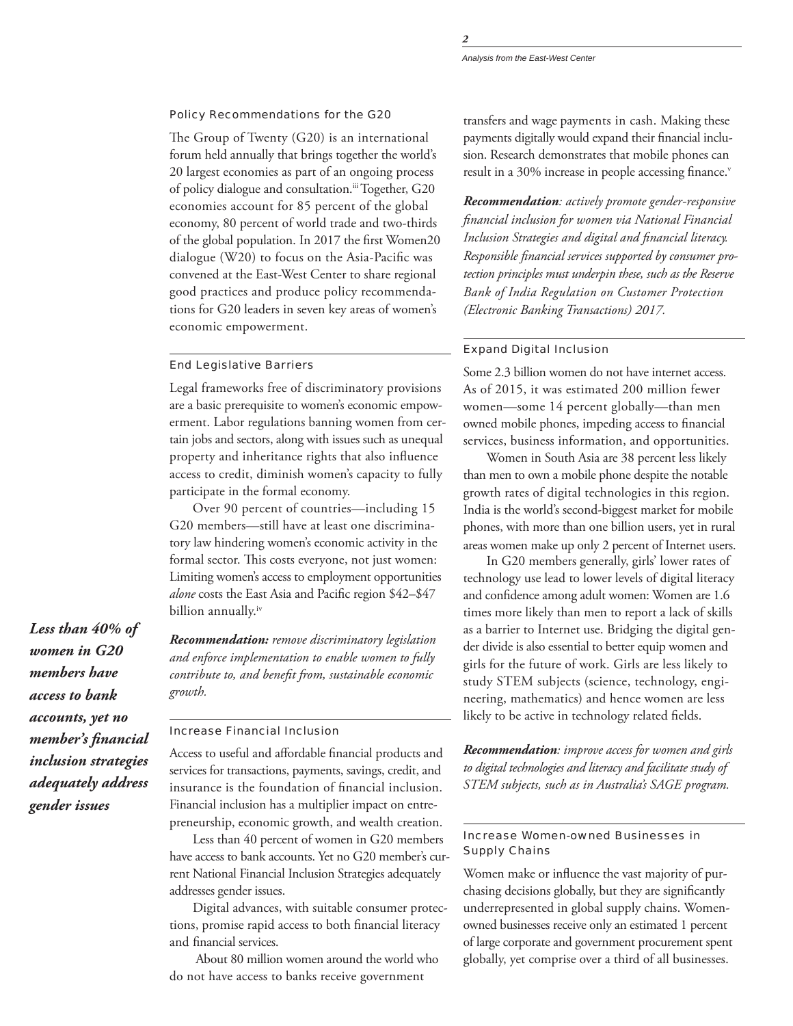### Policy Recommendations for the G20

The Group of Twenty (G20) is an international forum held annually that brings together the world's 20 largest economies as part of an ongoing process of policy dialogue and consultation.<sup>iii</sup> Together, G20 economies account for 85 percent of the global economy, 80 percent of world trade and two-thirds of the global population. In 2017 the first Women20 dialogue (W20) to focus on the Asia-Pacific was convened at the East-West Center to share regional good practices and produce policy recommendations for G20 leaders in seven key areas of women's economic empowerment.

#### End Legislative Barriers

Legal frameworks free of discriminatory provisions are a basic prerequisite to women's economic empowerment. Labor regulations banning women from certain jobs and sectors, along with issues such as unequal property and inheritance rights that also influence access to credit, diminish women's capacity to fully participate in the formal economy.

Over 90 percent of countries—including 15 G20 members—still have at least one discriminatory law hindering women's economic activity in the formal sector. This costs everyone, not just women: Limiting women's access to employment opportunities *alone* costs the East Asia and Pacific region \$42–\$47 billion annually.iv

*Recommendation: remove discriminatory legislation and enforce implementation to enable women to fully contribute to, and benefit from, sustainable economic growth.*

## Increase Financial Inclusion

Access to useful and affordable financial products and services for transactions, payments, savings, credit, and insurance is the foundation of financial inclusion. Financial inclusion has a multiplier impact on entrepreneurship, economic growth, and wealth creation.

Less than 40 percent of women in G20 members have access to bank accounts. Yet no G20 member's current National Financial Inclusion Strategies adequately addresses gender issues.

Digital advances, with suitable consumer protections, promise rapid access to both financial literacy and financial services.

 About 80 million women around the world who do not have access to banks receive government

transfers and wage payments in cash. Making these payments digitally would expand their financial inclusion. Research demonstrates that mobile phones can result in a 30% increase in people accessing finance.<sup>v</sup>

*Recommendation: actively promote gender-responsive financial inclusion for women via National Financial Inclusion Strategies and digital and financial literacy. Responsible financial services supported by consumer protection principles must underpin these, such as the Reserve Bank of India Regulation on Customer Protection (Electronic Banking Transactions) 2017.* 

# Expand Digital Inclusion

Some 2.3 billion women do not have internet access. As of 2015, it was estimated 200 million fewer women—some 14 percent globally—than men owned mobile phones, impeding access to financial services, business information, and opportunities.

Women in South Asia are 38 percent less likely than men to own a mobile phone despite the notable growth rates of digital technologies in this region. India is the world's second-biggest market for mobile phones, with more than one billion users, yet in rural areas women make up only 2 percent of Internet users.

In G20 members generally, girls' lower rates of technology use lead to lower levels of digital literacy and confidence among adult women: Women are 1.6 times more likely than men to report a lack of skills as a barrier to Internet use. Bridging the digital gender divide is also essential to better equip women and girls for the future of work. Girls are less likely to study STEM subjects (science, technology, engineering, mathematics) and hence women are less likely to be active in technology related fields.

*Recommendation: improve access for women and girls to digital technologies and literacy and facilitate study of STEM subjects, such as in Australia's SAGE program.* 

# Increase Women-owned Businesses in Supply Chains

Women make or influence the vast majority of purchasing decisions globally, but they are significantly underrepresented in global supply chains. Womenowned businesses receive only an estimated 1 percent of large corporate and government procurement spent globally, yet comprise over a third of all businesses.

*Less than 40% of women in G20 members have access to bank accounts, yet no member's financial inclusion strategies adequately address gender issues*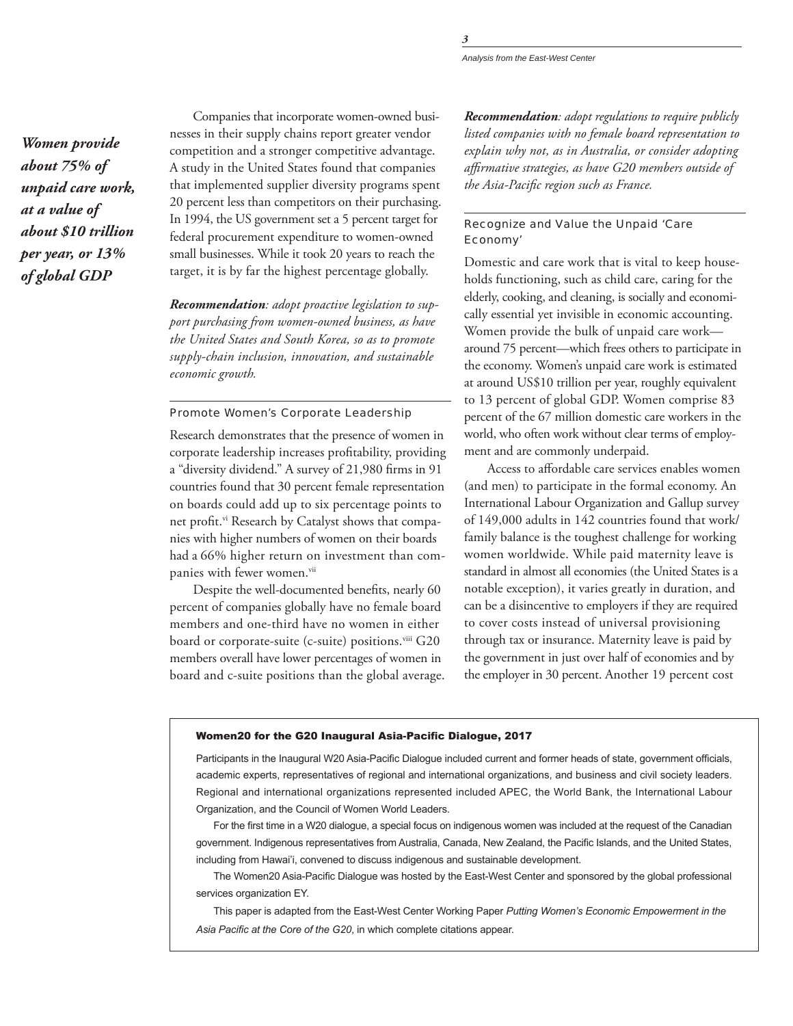Women provide about 75% of unpaid care work, at a value of about \$10 trillion per year, or  $13%$ of global GDP

Companies that incorporate women-owned businesses in their supply chains report greater vendor competition and a stronger competitive advantage. A study in the United States found that companies that implemented supplier diversity programs spent 20 percent less than competitors on their purchasing. In 1994, the US government set a 5 percent target for federal procurement expenditure to women-owned small businesses. While it took 20 years to reach the target, it is by far the highest percentage globally.

Recommendation: adopt proactive legislation to support purchasing from women-owned business, as have the United States and South Korea, so as to promote supply-chain inclusion, innovation, and sustainable economic growth.

## Promote Women's Corporate Leadership

Research demonstrates that the presence of women in corporate leadership increases profitability, providing a "diversity dividend." A survey of 21,980 firms in 91 countries found that 30 percent female representation on boards could add up to six percentage points to net profit.<sup>vi</sup> Research by Catalyst shows that companies with higher numbers of women on their boards had a 66% higher return on investment than companies with fewer women."i

Despite the well-documented benefits, nearly 60 percent of companies globally have no female board members and one-third have no women in either board or corporate-suite (c-suite) positions.<sup>viii</sup> G20 members overall have lower percentages of women in board and c-suite positions than the global average. **Recommendation:** adopt regulations to require publicly listed companies with no female board representation to explain why not, as in Australia, or consider adopting affirmative strategies, as have G20 members outside of the Asia-Pacific region such as France.

# Recognize and Value the Unpaid 'Care Economy'

Domestic and care work that is vital to keep households functioning, such as child care, caring for the elderly, cooking, and cleaning, is socially and economically essential yet invisible in economic accounting. Women provide the bulk of unpaid care workaround 75 percent-which frees others to participate in the economy. Women's unpaid care work is estimated at around US\$10 trillion per year, roughly equivalent to 13 percent of global GDP. Women comprise 83 percent of the 67 million domestic care workers in the world, who often work without clear terms of employment and are commonly underpaid.

Access to affordable care services enables women (and men) to participate in the formal economy. An International Labour Organization and Gallup survey of 149,000 adults in 142 countries found that work/ family balance is the toughest challenge for working women worldwide. While paid maternity leave is standard in almost all economies (the United States is a notable exception), it varies greatly in duration, and can be a disincentive to employers if they are required to cover costs instead of universal provisioning through tax or insurance. Maternity leave is paid by the government in just over half of economies and by the employer in 30 percent. Another 19 percent cost

#### Women20 for the G20 Inaugural Asia-Pacific Dialogue, 2017

Participants in the Inaugural W20 Asia-Pacific Dialogue included current and former heads of state, government officials, academic experts, representatives of regional and international organizations, and business and civil society leaders. Regional and international organizations represented included APEC, the World Bank, the International Labour Organization, and the Council of Women World Leaders.

For the first time in a W20 dialogue, a special focus on indigenous women was included at the request of the Canadian government. Indigenous representatives from Australia, Canada, New Zealand, the Pacific Islands, and the United States, including from Hawai'i, convened to discuss indigenous and sustainable development.

The Women20 Asia-Pacific Dialogue was hosted by the East-West Center and sponsored by the global professional services organization EY.

This paper is adapted from the East-West Center Working Paper Putting Women's Economic Empowerment in the Asia Pacific at the Core of the G20, in which complete citations appear.